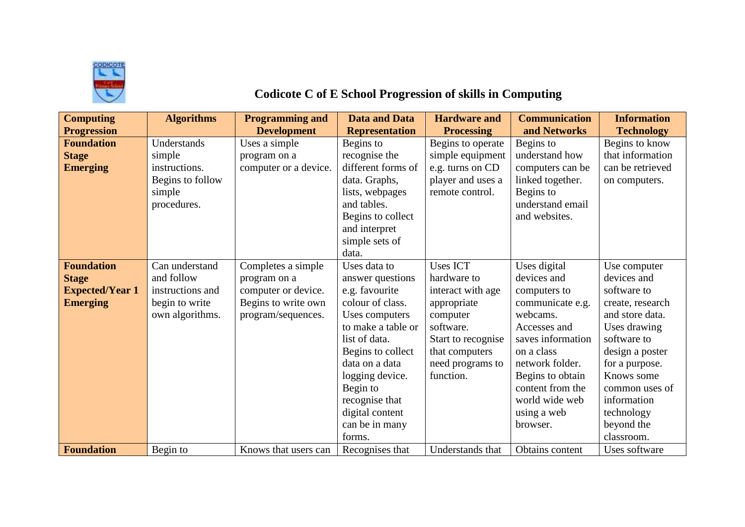

## **Codicote C of E School Progression of skills in Computing**

| <b>Computing</b>       | <b>Algorithms</b> | <b>Programming and</b> | <b>Data and Data</b>  | <b>Hardware and</b> | <b>Communication</b> | <b>Information</b> |
|------------------------|-------------------|------------------------|-----------------------|---------------------|----------------------|--------------------|
| <b>Progression</b>     |                   | <b>Development</b>     | <b>Representation</b> | <b>Processing</b>   | and Networks         | <b>Technology</b>  |
| <b>Foundation</b>      | Understands       | Uses a simple          | Begins to             | Begins to operate   | Begins to            | Begins to know     |
| <b>Stage</b>           | simple            | program on a           | recognise the         | simple equipment    | understand how       | that information   |
| <b>Emerging</b>        | instructions.     | computer or a device.  | different forms of    | e.g. turns on CD    | computers can be     | can be retrieved   |
|                        | Begins to follow  |                        | data. Graphs,         | player and uses a   | linked together.     | on computers.      |
|                        | simple            |                        | lists, webpages       | remote control.     | Begins to            |                    |
|                        | procedures.       |                        | and tables.           |                     | understand email     |                    |
|                        |                   |                        | Begins to collect     |                     | and websites.        |                    |
|                        |                   |                        | and interpret         |                     |                      |                    |
|                        |                   |                        | simple sets of        |                     |                      |                    |
|                        |                   |                        | data.                 |                     |                      |                    |
| <b>Foundation</b>      | Can understand    | Completes a simple     | Uses data to          | <b>Uses ICT</b>     | Uses digital         | Use computer       |
| <b>Stage</b>           | and follow        | program on a           | answer questions      | hardware to         | devices and          | devices and        |
| <b>Expected/Year 1</b> | instructions and  | computer or device.    | e.g. favourite        | interact with age   | computers to         | software to        |
| <b>Emerging</b>        | begin to write    | Begins to write own    | colour of class.      | appropriate         | communicate e.g.     | create, research   |
|                        | own algorithms.   | program/sequences.     | Uses computers        | computer            | webcams.             | and store data.    |
|                        |                   |                        | to make a table or    | software.           | Accesses and         | Uses drawing       |
|                        |                   |                        | list of data.         | Start to recognise  | saves information    | software to        |
|                        |                   |                        | Begins to collect     | that computers      | on a class           | design a poster    |
|                        |                   |                        | data on a data        | need programs to    | network folder.      | for a purpose.     |
|                        |                   |                        | logging device.       | function.           | Begins to obtain     | Knows some         |
|                        |                   |                        | Begin to              |                     | content from the     | common uses of     |
|                        |                   |                        | recognise that        |                     | world wide web       | information        |
|                        |                   |                        | digital content       |                     | using a web          | technology         |
|                        |                   |                        | can be in many        |                     | browser.             | beyond the         |
|                        |                   |                        | forms.                |                     |                      | classroom.         |
| <b>Foundation</b>      | Begin to          | Knows that users can   | Recognises that       | Understands that    | Obtains content      | Uses software      |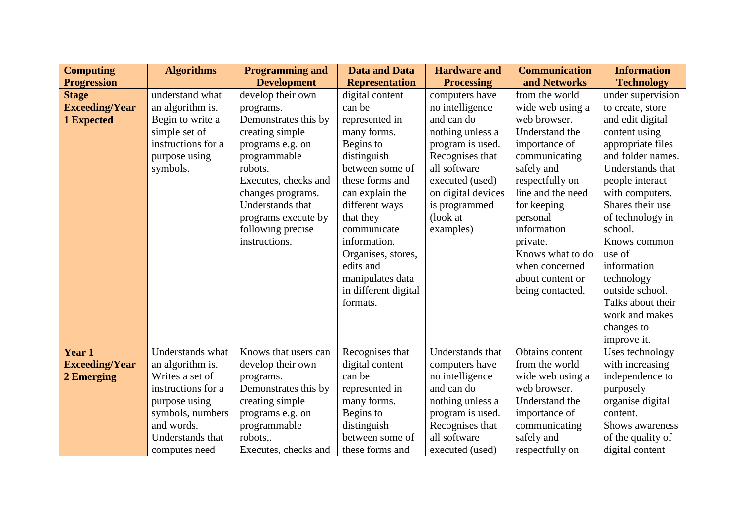| <b>Computing</b>      | <b>Algorithms</b>  | <b>Programming and</b> | <b>Data and Data</b>  | <b>Hardware and</b> | <b>Communication</b> | <b>Information</b> |
|-----------------------|--------------------|------------------------|-----------------------|---------------------|----------------------|--------------------|
| <b>Progression</b>    |                    | <b>Development</b>     | <b>Representation</b> | <b>Processing</b>   | and Networks         | <b>Technology</b>  |
| <b>Stage</b>          | understand what    | develop their own      | digital content       | computers have      | from the world       | under supervision  |
| <b>Exceeding/Year</b> | an algorithm is.   | programs.              | can be                | no intelligence     | wide web using a     | to create, store   |
| 1 Expected            | Begin to write a   | Demonstrates this by   | represented in        | and can do          | web browser.         | and edit digital   |
|                       | simple set of      | creating simple        | many forms.           | nothing unless a    | Understand the       | content using      |
|                       | instructions for a | programs e.g. on       | Begins to             | program is used.    | importance of        | appropriate files  |
|                       | purpose using      | programmable           | distinguish           | Recognises that     | communicating        | and folder names.  |
|                       | symbols.           | robots.                | between some of       | all software        | safely and           | Understands that   |
|                       |                    | Executes, checks and   | these forms and       | executed (used)     | respectfully on      | people interact    |
|                       |                    | changes programs.      | can explain the       | on digital devices  | line and the need    | with computers.    |
|                       |                    | Understands that       | different ways        | is programmed       | for keeping          | Shares their use   |
|                       |                    | programs execute by    | that they             | (look at            | personal             | of technology in   |
|                       |                    | following precise      | communicate           | examples)           | information          | school.            |
|                       |                    | instructions.          | information.          |                     | private.             | Knows common       |
|                       |                    |                        | Organises, stores,    |                     | Knows what to do     | use of             |
|                       |                    |                        | edits and             |                     | when concerned       | information        |
|                       |                    |                        | manipulates data      |                     | about content or     | technology         |
|                       |                    |                        | in different digital  |                     | being contacted.     | outside school.    |
|                       |                    |                        | formats.              |                     |                      | Talks about their  |
|                       |                    |                        |                       |                     |                      | work and makes     |
|                       |                    |                        |                       |                     |                      | changes to         |
|                       |                    |                        |                       |                     |                      | improve it.        |
| Year 1                | Understands what   | Knows that users can   | Recognises that       | Understands that    | Obtains content      | Uses technology    |
| <b>Exceeding/Year</b> | an algorithm is.   | develop their own      | digital content       | computers have      | from the world       | with increasing    |
| 2 Emerging            | Writes a set of    | programs.              | can be                | no intelligence     | wide web using a     | independence to    |
|                       | instructions for a | Demonstrates this by   | represented in        | and can do          | web browser.         | purposely          |
|                       | purpose using      | creating simple        | many forms.           | nothing unless a    | Understand the       | organise digital   |
|                       | symbols, numbers   | programs e.g. on       | Begins to             | program is used.    | importance of        | content.           |
|                       | and words.         | programmable           | distinguish           | Recognises that     | communicating        | Shows awareness    |
|                       | Understands that   | robots,.               | between some of       | all software        | safely and           | of the quality of  |
|                       | computes need      | Executes, checks and   | these forms and       | executed (used)     | respectfully on      | digital content    |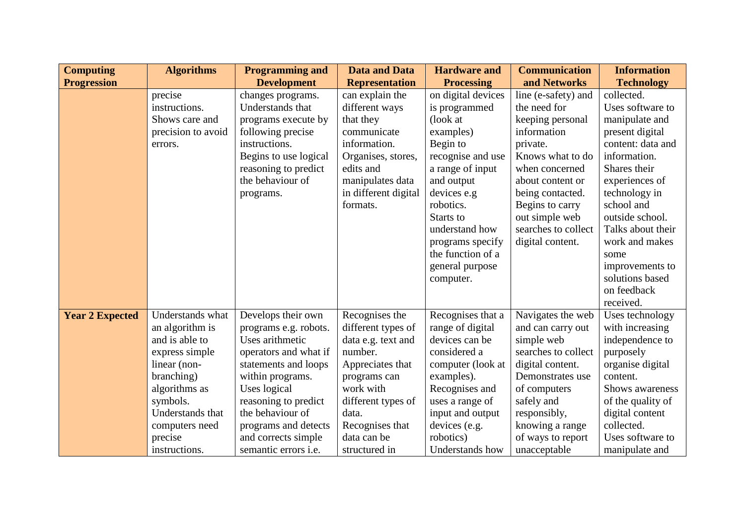| <b>Computing</b>       | <b>Algorithms</b>  | <b>Programming and</b>      | <b>Data and Data</b>  | <b>Hardware and</b> | <b>Communication</b> | <b>Information</b> |
|------------------------|--------------------|-----------------------------|-----------------------|---------------------|----------------------|--------------------|
| <b>Progression</b>     |                    | <b>Development</b>          | <b>Representation</b> | <b>Processing</b>   | and Networks         | <b>Technology</b>  |
|                        | precise            | changes programs.           | can explain the       | on digital devices  | line (e-safety) and  | collected.         |
|                        | instructions.      | Understands that            | different ways        | is programmed       | the need for         | Uses software to   |
|                        | Shows care and     | programs execute by         | that they             | (look at            | keeping personal     | manipulate and     |
|                        | precision to avoid | following precise           | communicate           | examples)           | information          | present digital    |
|                        | errors.            | instructions.               | information.          | Begin to            | private.             | content: data and  |
|                        |                    | Begins to use logical       | Organises, stores,    | recognise and use   | Knows what to do     | information.       |
|                        |                    | reasoning to predict        | edits and             | a range of input    | when concerned       | Shares their       |
|                        |                    | the behaviour of            | manipulates data      | and output          | about content or     | experiences of     |
|                        |                    | programs.                   | in different digital  | devices e.g         | being contacted.     | technology in      |
|                        |                    |                             | formats.              | robotics.           | Begins to carry      | school and         |
|                        |                    |                             |                       | Starts to           | out simple web       | outside school.    |
|                        |                    |                             |                       | understand how      | searches to collect  | Talks about their  |
|                        |                    |                             |                       | programs specify    | digital content.     | work and makes     |
|                        |                    |                             |                       | the function of a   |                      | some               |
|                        |                    |                             |                       | general purpose     |                      | improvements to    |
|                        |                    |                             |                       | computer.           |                      | solutions based    |
|                        |                    |                             |                       |                     |                      | on feedback        |
|                        |                    |                             |                       |                     |                      | received.          |
| <b>Year 2 Expected</b> | Understands what   | Develops their own          | Recognises the        | Recognises that a   | Navigates the web    | Uses technology    |
|                        | an algorithm is    | programs e.g. robots.       | different types of    | range of digital    | and can carry out    | with increasing    |
|                        | and is able to     | Uses arithmetic             | data e.g. text and    | devices can be      | simple web           | independence to    |
|                        | express simple     | operators and what if       | number.               | considered a        | searches to collect  | purposely          |
|                        | linear (non-       | statements and loops        | Appreciates that      | computer (look at   | digital content.     | organise digital   |
|                        | branching)         | within programs.            | programs can          | examples).          | Demonstrates use     | content.           |
|                        | algorithms as      | Uses logical                | work with             | Recognises and      | of computers         | Shows awareness    |
|                        | symbols.           | reasoning to predict        | different types of    | uses a range of     | safely and           | of the quality of  |
|                        | Understands that   | the behaviour of            | data.                 | input and output    | responsibly,         | digital content    |
|                        | computers need     | programs and detects        | Recognises that       | devices (e.g.       | knowing a range      | collected.         |
|                        | precise            | and corrects simple         | data can be           | robotics)           | of ways to report    | Uses software to   |
|                        | instructions.      | semantic errors <i>i.e.</i> | structured in         | Understands how     | unacceptable         | manipulate and     |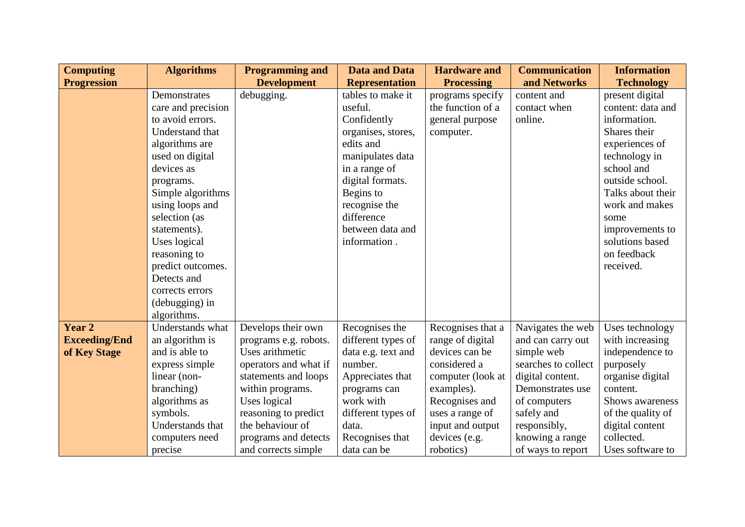| <b>Computing</b>     | <b>Algorithms</b>  | <b>Programming and</b> | <b>Data and Data</b>  | <b>Hardware and</b> | <b>Communication</b> | <b>Information</b> |
|----------------------|--------------------|------------------------|-----------------------|---------------------|----------------------|--------------------|
| <b>Progression</b>   |                    | <b>Development</b>     | <b>Representation</b> | <b>Processing</b>   | and Networks         | <b>Technology</b>  |
|                      | Demonstrates       | debugging.             | tables to make it     | programs specify    | content and          | present digital    |
|                      | care and precision |                        | useful.               | the function of a   | contact when         | content: data and  |
|                      | to avoid errors.   |                        | Confidently           | general purpose     | online.              | information.       |
|                      | Understand that    |                        | organises, stores,    | computer.           |                      | Shares their       |
|                      | algorithms are     |                        | edits and             |                     |                      | experiences of     |
|                      | used on digital    |                        | manipulates data      |                     |                      | technology in      |
|                      | devices as         |                        | in a range of         |                     |                      | school and         |
|                      | programs.          |                        | digital formats.      |                     |                      | outside school.    |
|                      | Simple algorithms  |                        | Begins to             |                     |                      | Talks about their  |
|                      | using loops and    |                        | recognise the         |                     |                      | work and makes     |
|                      | selection (as      |                        | difference            |                     |                      | some               |
|                      | statements).       |                        | between data and      |                     |                      | improvements to    |
|                      | Uses logical       |                        | information.          |                     |                      | solutions based    |
|                      | reasoning to       |                        |                       |                     |                      | on feedback        |
|                      | predict outcomes.  |                        |                       |                     |                      | received.          |
|                      | Detects and        |                        |                       |                     |                      |                    |
|                      | corrects errors    |                        |                       |                     |                      |                    |
|                      | (debugging) in     |                        |                       |                     |                      |                    |
|                      | algorithms.        |                        |                       |                     |                      |                    |
| Year 2               | Understands what   | Develops their own     | Recognises the        | Recognises that a   | Navigates the web    | Uses technology    |
| <b>Exceeding/End</b> | an algorithm is    | programs e.g. robots.  | different types of    | range of digital    | and can carry out    | with increasing    |
| of Key Stage         | and is able to     | Uses arithmetic        | data e.g. text and    | devices can be      | simple web           | independence to    |
|                      | express simple     | operators and what if  | number.               | considered a        | searches to collect  | purposely          |
|                      | linear (non-       | statements and loops   | Appreciates that      | computer (look at   | digital content.     | organise digital   |
|                      | branching)         | within programs.       | programs can          | examples).          | Demonstrates use     | content.           |
|                      | algorithms as      | Uses logical           | work with             | Recognises and      | of computers         | Shows awareness    |
|                      | symbols.           | reasoning to predict   | different types of    | uses a range of     | safely and           | of the quality of  |
|                      | Understands that   | the behaviour of       | data.                 | input and output    | responsibly,         | digital content    |
|                      | computers need     | programs and detects   | Recognises that       | devices (e.g.       | knowing a range      | collected.         |
|                      | precise            | and corrects simple    | data can be           | robotics)           | of ways to report    | Uses software to   |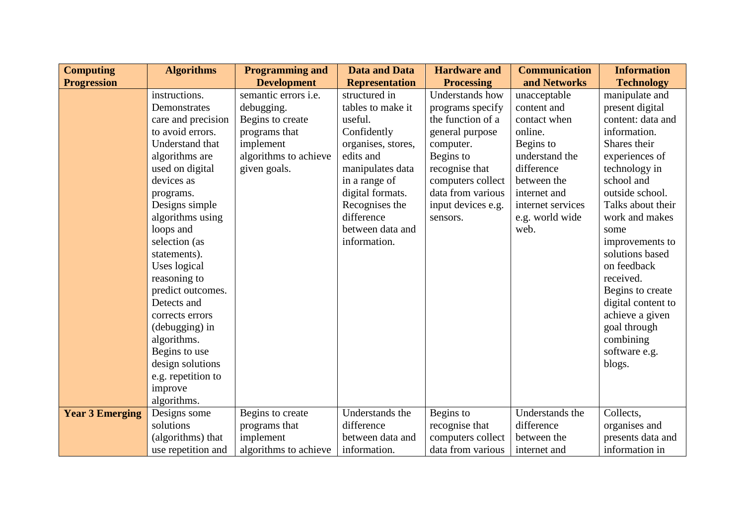| <b>Computing</b>       | <b>Algorithms</b>  | <b>Programming and</b>      | <b>Data and Data</b>  | <b>Hardware and</b> | <b>Communication</b> | <b>Information</b> |
|------------------------|--------------------|-----------------------------|-----------------------|---------------------|----------------------|--------------------|
| <b>Progression</b>     |                    | <b>Development</b>          | <b>Representation</b> | <b>Processing</b>   | and Networks         | <b>Technology</b>  |
|                        | instructions.      | semantic errors <i>i.e.</i> | structured in         | Understands how     | unacceptable         | manipulate and     |
|                        | Demonstrates       | debugging.                  | tables to make it     | programs specify    | content and          | present digital    |
|                        | care and precision | Begins to create            | useful.               | the function of a   | contact when         | content: data and  |
|                        | to avoid errors.   | programs that               | Confidently           | general purpose     | online.              | information.       |
|                        | Understand that    | implement                   | organises, stores,    | computer.           | Begins to            | Shares their       |
|                        | algorithms are     | algorithms to achieve       | edits and             | Begins to           | understand the       | experiences of     |
|                        | used on digital    | given goals.                | manipulates data      | recognise that      | difference           | technology in      |
|                        | devices as         |                             | in a range of         | computers collect   | between the          | school and         |
|                        | programs.          |                             | digital formats.      | data from various   | internet and         | outside school.    |
|                        | Designs simple     |                             | Recognises the        | input devices e.g.  | internet services    | Talks about their  |
|                        | algorithms using   |                             | difference            | sensors.            | e.g. world wide      | work and makes     |
|                        | loops and          |                             | between data and      |                     | web.                 | some               |
|                        | selection (as      |                             | information.          |                     |                      | improvements to    |
|                        | statements).       |                             |                       |                     |                      | solutions based    |
|                        | Uses logical       |                             |                       |                     |                      | on feedback        |
|                        | reasoning to       |                             |                       |                     |                      | received.          |
|                        | predict outcomes.  |                             |                       |                     |                      | Begins to create   |
|                        | Detects and        |                             |                       |                     |                      | digital content to |
|                        | corrects errors    |                             |                       |                     |                      | achieve a given    |
|                        | (debugging) in     |                             |                       |                     |                      | goal through       |
|                        | algorithms.        |                             |                       |                     |                      | combining          |
|                        | Begins to use      |                             |                       |                     |                      | software e.g.      |
|                        | design solutions   |                             |                       |                     |                      | blogs.             |
|                        | e.g. repetition to |                             |                       |                     |                      |                    |
|                        | improve            |                             |                       |                     |                      |                    |
|                        | algorithms.        |                             |                       |                     |                      |                    |
| <b>Year 3 Emerging</b> | Designs some       | Begins to create            | Understands the       | Begins to           | Understands the      | Collects,          |
|                        | solutions          | programs that               | difference            | recognise that      | difference           | organises and      |
|                        | (algorithms) that  | implement                   | between data and      | computers collect   | between the          | presents data and  |
|                        | use repetition and | algorithms to achieve       | information.          | data from various   | internet and         | information in     |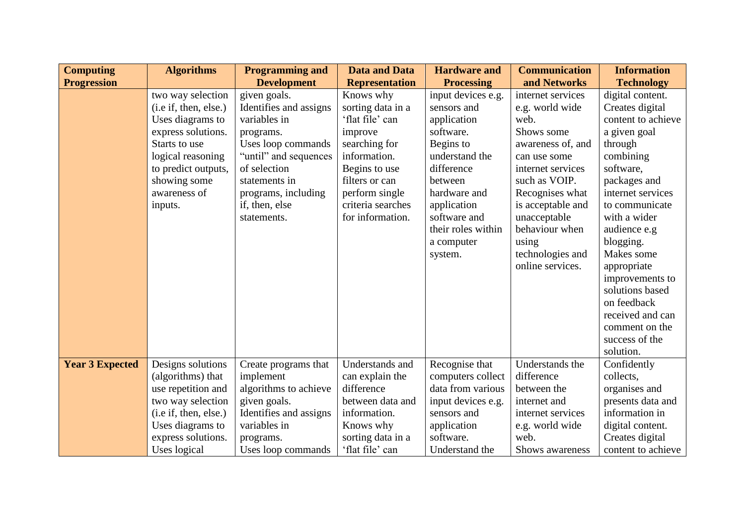| <b>Computing</b>       | <b>Algorithms</b>      | <b>Programming and</b> | <b>Data and Data</b>  | <b>Hardware and</b> | <b>Communication</b> | <b>Information</b> |
|------------------------|------------------------|------------------------|-----------------------|---------------------|----------------------|--------------------|
| <b>Progression</b>     |                        | <b>Development</b>     | <b>Representation</b> | <b>Processing</b>   | and Networks         | <b>Technology</b>  |
|                        | two way selection      | given goals.           | Knows why             | input devices e.g.  | internet services    | digital content.   |
|                        | (i.e. if, then, else.) | Identifies and assigns | sorting data in a     | sensors and         | e.g. world wide      | Creates digital    |
|                        | Uses diagrams to       | variables in           | 'flat file' can       | application         | web.                 | content to achieve |
|                        | express solutions.     | programs.              | improve               | software.           | Shows some           | a given goal       |
|                        | Starts to use          | Uses loop commands     | searching for         | Begins to           | awareness of, and    | through            |
|                        | logical reasoning      | "until" and sequences  | information.          | understand the      | can use some         | combining          |
|                        | to predict outputs,    | of selection           | Begins to use         | difference          | internet services    | software,          |
|                        | showing some           | statements in          | filters or can        | between             | such as VOIP.        | packages and       |
|                        | awareness of           | programs, including    | perform single        | hardware and        | Recognises what      | internet services  |
|                        | inputs.                | if, then, else         | criteria searches     | application         | is acceptable and    | to communicate     |
|                        |                        | statements.            | for information.      | software and        | unacceptable         | with a wider       |
|                        |                        |                        |                       | their roles within  | behaviour when       | audience e.g       |
|                        |                        |                        |                       | a computer          | using                | blogging.          |
|                        |                        |                        |                       | system.             | technologies and     | Makes some         |
|                        |                        |                        |                       |                     | online services.     | appropriate        |
|                        |                        |                        |                       |                     |                      | improvements to    |
|                        |                        |                        |                       |                     |                      | solutions based    |
|                        |                        |                        |                       |                     |                      | on feedback        |
|                        |                        |                        |                       |                     |                      | received and can   |
|                        |                        |                        |                       |                     |                      | comment on the     |
|                        |                        |                        |                       |                     |                      | success of the     |
|                        |                        |                        |                       |                     |                      | solution.          |
| <b>Year 3 Expected</b> | Designs solutions      | Create programs that   | Understands and       | Recognise that      | Understands the      | Confidently        |
|                        | (algorithms) that      | implement              | can explain the       | computers collect   | difference           | collects,          |
|                        | use repetition and     | algorithms to achieve  | difference            | data from various   | between the          | organises and      |
|                        | two way selection      | given goals.           | between data and      | input devices e.g.  | internet and         | presents data and  |
|                        | (i.e. if, then, else.) | Identifies and assigns | information.          | sensors and         | internet services    | information in     |
|                        | Uses diagrams to       | variables in           | Knows why             | application         | e.g. world wide      | digital content.   |
|                        | express solutions.     | programs.              | sorting data in a     | software.           | web.                 | Creates digital    |
|                        | Uses logical           | Uses loop commands     | 'flat file' can       | Understand the      | Shows awareness      | content to achieve |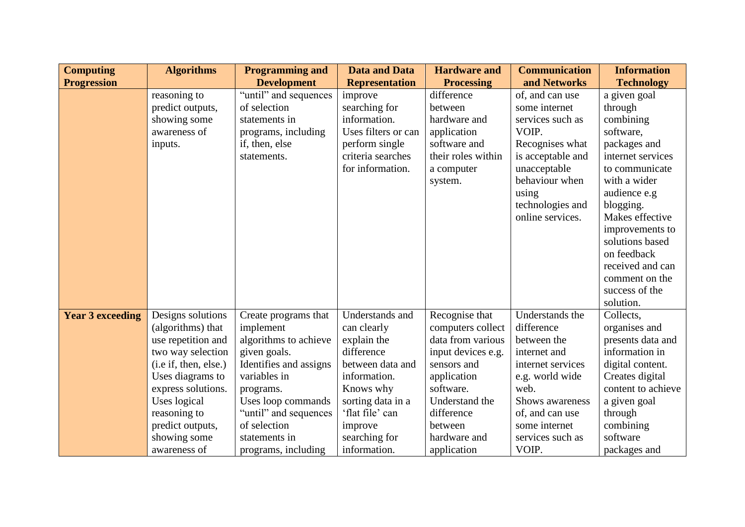| <b>Computing</b>        | <b>Algorithms</b>     | <b>Programming and</b> | <b>Data and Data</b>  | <b>Hardware and</b> | <b>Communication</b> | <b>Information</b> |
|-------------------------|-----------------------|------------------------|-----------------------|---------------------|----------------------|--------------------|
| <b>Progression</b>      |                       | <b>Development</b>     | <b>Representation</b> | <b>Processing</b>   | and Networks         | <b>Technology</b>  |
|                         | reasoning to          | "until" and sequences  | improve               | difference          | of, and can use      | a given goal       |
|                         | predict outputs,      | of selection           | searching for         | between             | some internet        | through            |
|                         | showing some          | statements in          | information.          | hardware and        | services such as     | combining          |
|                         | awareness of          | programs, including    | Uses filters or can   | application         | VOIP.                | software,          |
|                         | inputs.               | if, then, else         | perform single        | software and        | Recognises what      | packages and       |
|                         |                       | statements.            | criteria searches     | their roles within  | is acceptable and    | internet services  |
|                         |                       |                        | for information.      | a computer          | unacceptable         | to communicate     |
|                         |                       |                        |                       | system.             | behaviour when       | with a wider       |
|                         |                       |                        |                       |                     | using                | audience e.g       |
|                         |                       |                        |                       |                     | technologies and     | blogging.          |
|                         |                       |                        |                       |                     | online services.     | Makes effective    |
|                         |                       |                        |                       |                     |                      | improvements to    |
|                         |                       |                        |                       |                     |                      | solutions based    |
|                         |                       |                        |                       |                     |                      | on feedback        |
|                         |                       |                        |                       |                     |                      | received and can   |
|                         |                       |                        |                       |                     |                      | comment on the     |
|                         |                       |                        |                       |                     |                      | success of the     |
|                         |                       |                        |                       |                     |                      | solution.          |
| <b>Year 3 exceeding</b> | Designs solutions     | Create programs that   | Understands and       | Recognise that      | Understands the      | Collects,          |
|                         | (algorithms) that     | implement              | can clearly           | computers collect   | difference           | organises and      |
|                         | use repetition and    | algorithms to achieve  | explain the           | data from various   | between the          | presents data and  |
|                         | two way selection     | given goals.           | difference            | input devices e.g.  | internet and         | information in     |
|                         | (i.e if, then, else.) | Identifies and assigns | between data and      | sensors and         | internet services    | digital content.   |
|                         | Uses diagrams to      | variables in           | information.          | application         | e.g. world wide      | Creates digital    |
|                         | express solutions.    | programs.              | Knows why             | software.           | web.                 | content to achieve |
|                         | Uses logical          | Uses loop commands     | sorting data in a     | Understand the      | Shows awareness      | a given goal       |
|                         | reasoning to          | "until" and sequences  | 'flat file' can       | difference          | of, and can use      | through            |
|                         | predict outputs,      | of selection           | improve               | between             | some internet        | combining          |
|                         | showing some          | statements in          | searching for         | hardware and        | services such as     | software           |
|                         | awareness of          | programs, including    | information.          | application         | VOIP.                | packages and       |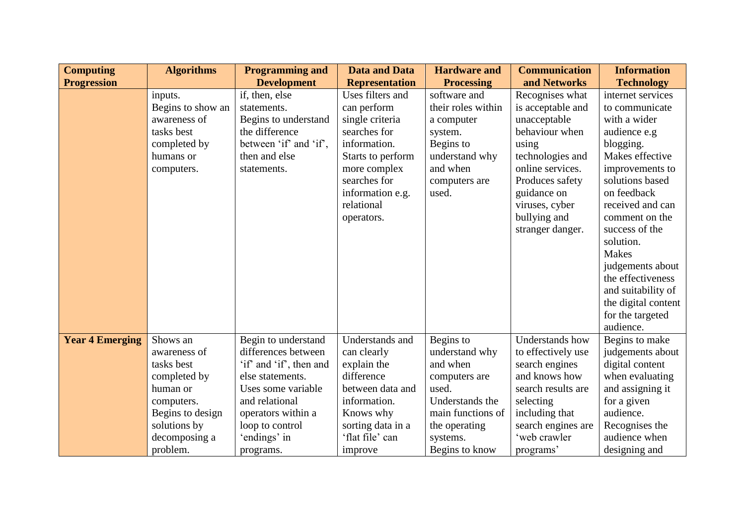| <b>Computing</b>       | <b>Algorithms</b> | <b>Programming and</b>  | <b>Data and Data</b>  | <b>Hardware and</b> | <b>Communication</b> | <b>Information</b>  |
|------------------------|-------------------|-------------------------|-----------------------|---------------------|----------------------|---------------------|
| <b>Progression</b>     |                   | <b>Development</b>      | <b>Representation</b> | <b>Processing</b>   | and Networks         | <b>Technology</b>   |
|                        | inputs.           | if, then, else          | Uses filters and      | software and        | Recognises what      | internet services   |
|                        | Begins to show an | statements.             | can perform           | their roles within  | is acceptable and    | to communicate      |
|                        | awareness of      | Begins to understand    | single criteria       | a computer          | unacceptable         | with a wider        |
|                        | tasks best        | the difference          | searches for          | system.             | behaviour when       | audience e.g        |
|                        | completed by      | between 'if' and 'if',  | information.          | Begins to           | using                | blogging.           |
|                        | humans or         | then and else           | Starts to perform     | understand why      | technologies and     | Makes effective     |
|                        | computers.        | statements.             | more complex          | and when            | online services.     | improvements to     |
|                        |                   |                         | searches for          | computers are       | Produces safety      | solutions based     |
|                        |                   |                         | information e.g.      | used.               | guidance on          | on feedback         |
|                        |                   |                         | relational            |                     | viruses, cyber       | received and can    |
|                        |                   |                         | operators.            |                     | bullying and         | comment on the      |
|                        |                   |                         |                       |                     | stranger danger.     | success of the      |
|                        |                   |                         |                       |                     |                      | solution.           |
|                        |                   |                         |                       |                     |                      | <b>Makes</b>        |
|                        |                   |                         |                       |                     |                      | judgements about    |
|                        |                   |                         |                       |                     |                      | the effectiveness   |
|                        |                   |                         |                       |                     |                      | and suitability of  |
|                        |                   |                         |                       |                     |                      | the digital content |
|                        |                   |                         |                       |                     |                      | for the targeted    |
|                        |                   |                         |                       |                     |                      | audience.           |
| <b>Year 4 Emerging</b> | Shows an          | Begin to understand     | Understands and       | Begins to           | Understands how      | Begins to make      |
|                        | awareness of      | differences between     | can clearly           | understand why      | to effectively use   | judgements about    |
|                        | tasks best        | 'if' and 'if', then and | explain the           | and when            | search engines       | digital content     |
|                        | completed by      | else statements.        | difference            | computers are       | and knows how        | when evaluating     |
|                        | human or          | Uses some variable      | between data and      | used.               | search results are   | and assigning it    |
|                        | computers.        | and relational          | information.          | Understands the     | selecting            | for a given         |
|                        | Begins to design  | operators within a      | Knows why             | main functions of   | including that       | audience.           |
|                        | solutions by      | loop to control         | sorting data in a     | the operating       | search engines are   | Recognises the      |
|                        | decomposing a     | 'endings' in            | 'flat file' can       | systems.            | 'web crawler         | audience when       |
|                        | problem.          | programs.               | improve               | Begins to know      | programs'            | designing and       |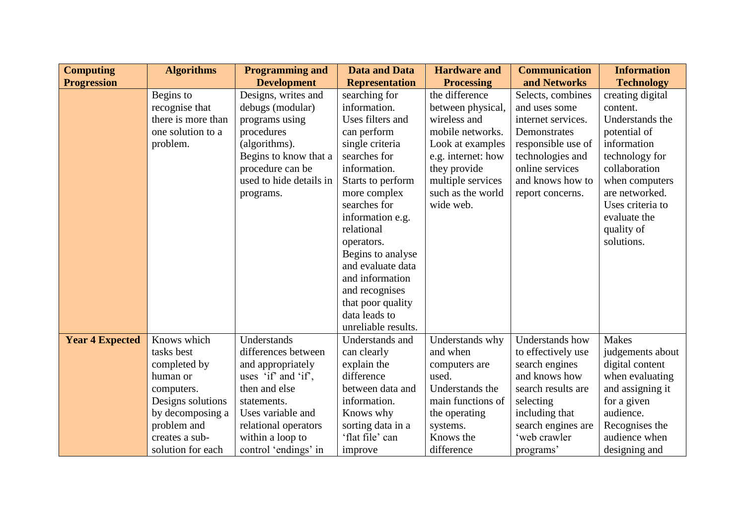| <b>Computing</b>       | <b>Algorithms</b>  | <b>Programming and</b>  | <b>Data and Data</b>  | <b>Hardware and</b> | <b>Communication</b> | <b>Information</b> |
|------------------------|--------------------|-------------------------|-----------------------|---------------------|----------------------|--------------------|
| <b>Progression</b>     |                    | <b>Development</b>      | <b>Representation</b> | <b>Processing</b>   | and Networks         | <b>Technology</b>  |
|                        | Begins to          | Designs, writes and     | searching for         | the difference      | Selects, combines    | creating digital   |
|                        | recognise that     | debugs (modular)        | information.          | between physical,   | and uses some        | content.           |
|                        | there is more than | programs using          | Uses filters and      | wireless and        | internet services.   | Understands the    |
|                        | one solution to a  | procedures              | can perform           | mobile networks.    | Demonstrates         | potential of       |
|                        | problem.           | (algorithms).           | single criteria       | Look at examples    | responsible use of   | information        |
|                        |                    | Begins to know that a   | searches for          | e.g. internet: how  | technologies and     | technology for     |
|                        |                    | procedure can be        | information.          | they provide        | online services      | collaboration      |
|                        |                    | used to hide details in | Starts to perform     | multiple services   | and knows how to     | when computers     |
|                        |                    | programs.               | more complex          | such as the world   | report concerns.     | are networked.     |
|                        |                    |                         | searches for          | wide web.           |                      | Uses criteria to   |
|                        |                    |                         | information e.g.      |                     |                      | evaluate the       |
|                        |                    |                         | relational            |                     |                      | quality of         |
|                        |                    |                         | operators.            |                     |                      | solutions.         |
|                        |                    |                         | Begins to analyse     |                     |                      |                    |
|                        |                    |                         | and evaluate data     |                     |                      |                    |
|                        |                    |                         | and information       |                     |                      |                    |
|                        |                    |                         | and recognises        |                     |                      |                    |
|                        |                    |                         | that poor quality     |                     |                      |                    |
|                        |                    |                         | data leads to         |                     |                      |                    |
|                        |                    |                         | unreliable results.   |                     |                      |                    |
| <b>Year 4 Expected</b> | Knows which        | Understands             | Understands and       | Understands why     | Understands how      | <b>Makes</b>       |
|                        | tasks best         | differences between     | can clearly           | and when            | to effectively use   | judgements about   |
|                        | completed by       | and appropriately       | explain the           | computers are       | search engines       | digital content    |
|                        | human or           | uses 'if' and 'if',     | difference            | used.               | and knows how        | when evaluating    |
|                        | computers.         | then and else           | between data and      | Understands the     | search results are   | and assigning it   |
|                        | Designs solutions  | statements.             | information.          | main functions of   | selecting            | for a given        |
|                        | by decomposing a   | Uses variable and       | Knows why             | the operating       | including that       | audience.          |
|                        | problem and        | relational operators    | sorting data in a     | systems.            | search engines are   | Recognises the     |
|                        | creates a sub-     | within a loop to        | 'flat file' can       | Knows the           | 'web crawler         | audience when      |
|                        | solution for each  | control 'endings' in    | improve               | difference          | programs'            | designing and      |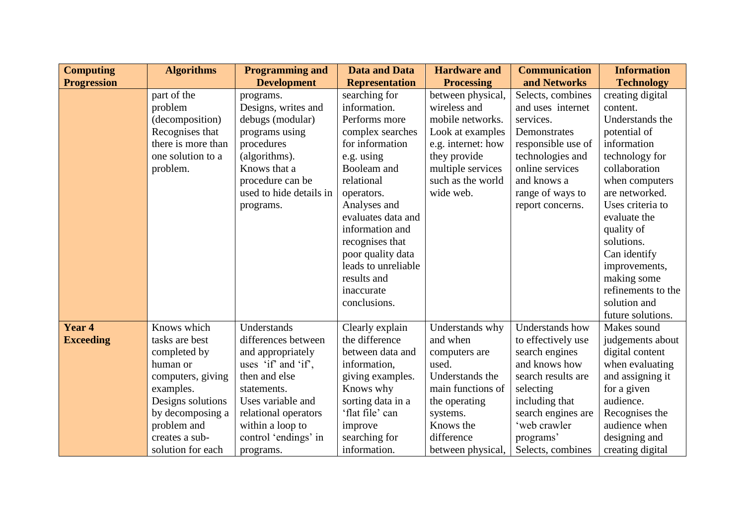| <b>Computing</b>   | <b>Algorithms</b>  | <b>Programming and</b>  | <b>Data and Data</b>  | <b>Hardware and</b> | <b>Communication</b> | <b>Information</b> |
|--------------------|--------------------|-------------------------|-----------------------|---------------------|----------------------|--------------------|
| <b>Progression</b> |                    | <b>Development</b>      | <b>Representation</b> | <b>Processing</b>   | and Networks         | <b>Technology</b>  |
|                    | part of the        | programs.               | searching for         | between physical,   | Selects, combines    | creating digital   |
|                    | problem            | Designs, writes and     | information.          | wireless and        | and uses internet    | content.           |
|                    | (decomposition)    | debugs (modular)        | Performs more         | mobile networks.    | services.            | Understands the    |
|                    | Recognises that    | programs using          | complex searches      | Look at examples    | Demonstrates         | potential of       |
|                    | there is more than | procedures              | for information       | e.g. internet: how  | responsible use of   | information        |
|                    | one solution to a  | (algorithms).           | e.g. using            | they provide        | technologies and     | technology for     |
|                    | problem.           | Knows that a            | Booleam and           | multiple services   | online services      | collaboration      |
|                    |                    | procedure can be        | relational            | such as the world   | and knows a          | when computers     |
|                    |                    | used to hide details in | operators.            | wide web.           | range of ways to     | are networked.     |
|                    |                    | programs.               | Analyses and          |                     | report concerns.     | Uses criteria to   |
|                    |                    |                         | evaluates data and    |                     |                      | evaluate the       |
|                    |                    |                         | information and       |                     |                      | quality of         |
|                    |                    |                         | recognises that       |                     |                      | solutions.         |
|                    |                    |                         | poor quality data     |                     |                      | Can identify       |
|                    |                    |                         | leads to unreliable   |                     |                      | improvements,      |
|                    |                    |                         | results and           |                     |                      | making some        |
|                    |                    |                         | inaccurate            |                     |                      | refinements to the |
|                    |                    |                         | conclusions.          |                     |                      | solution and       |
|                    |                    |                         |                       |                     |                      | future solutions.  |
| Year <sub>4</sub>  | Knows which        | Understands             | Clearly explain       | Understands why     | Understands how      | Makes sound        |
| <b>Exceeding</b>   | tasks are best     | differences between     | the difference        | and when            | to effectively use   | judgements about   |
|                    | completed by       | and appropriately       | between data and      | computers are       | search engines       | digital content    |
|                    | human or           | uses 'if' and 'if',     | information,          | used.               | and knows how        | when evaluating    |
|                    | computers, giving  | then and else           | giving examples.      | Understands the     | search results are   | and assigning it   |
|                    | examples.          | statements.             | Knows why             | main functions of   | selecting            | for a given        |
|                    | Designs solutions  | Uses variable and       | sorting data in a     | the operating       | including that       | audience.          |
|                    | by decomposing a   | relational operators    | 'flat file' can       | systems.            | search engines are   | Recognises the     |
|                    | problem and        | within a loop to        | improve               | Knows the           | 'web crawler         | audience when      |
|                    | creates a sub-     | control 'endings' in    | searching for         | difference          | programs'            | designing and      |
|                    | solution for each  | programs.               | information.          | between physical,   | Selects, combines    | creating digital   |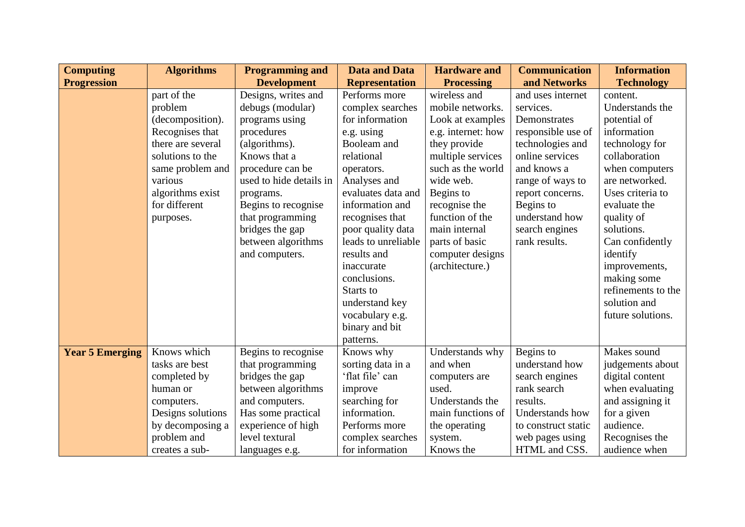| <b>Computing</b>       | <b>Algorithms</b> | <b>Programming and</b>  | <b>Data and Data</b>  | <b>Hardware and</b> | <b>Communication</b> | <b>Information</b> |
|------------------------|-------------------|-------------------------|-----------------------|---------------------|----------------------|--------------------|
| <b>Progression</b>     |                   | <b>Development</b>      | <b>Representation</b> | <b>Processing</b>   | and Networks         | <b>Technology</b>  |
|                        | part of the       | Designs, writes and     | Performs more         | wireless and        | and uses internet    | content.           |
|                        | problem           | debugs (modular)        | complex searches      | mobile networks.    | services.            | Understands the    |
|                        | (decomposition).  | programs using          | for information       | Look at examples    | Demonstrates         | potential of       |
|                        | Recognises that   | procedures              | e.g. using            | e.g. internet: how  | responsible use of   | information        |
|                        | there are several | (algorithms).           | Booleam and           | they provide        | technologies and     | technology for     |
|                        | solutions to the  | Knows that a            | relational            | multiple services   | online services      | collaboration      |
|                        | same problem and  | procedure can be        | operators.            | such as the world   | and knows a          | when computers     |
|                        | various           | used to hide details in | Analyses and          | wide web.           | range of ways to     | are networked.     |
|                        | algorithms exist  | programs.               | evaluates data and    | Begins to           | report concerns.     | Uses criteria to   |
|                        | for different     | Begins to recognise     | information and       | recognise the       | Begins to            | evaluate the       |
|                        | purposes.         | that programming        | recognises that       | function of the     | understand how       | quality of         |
|                        |                   | bridges the gap         | poor quality data     | main internal       | search engines       | solutions.         |
|                        |                   | between algorithms      | leads to unreliable   | parts of basic      | rank results.        | Can confidently    |
|                        |                   | and computers.          | results and           | computer designs    |                      | identify           |
|                        |                   |                         | inaccurate            | (architecture.)     |                      | improvements,      |
|                        |                   |                         | conclusions.          |                     |                      | making some        |
|                        |                   |                         | Starts to             |                     |                      | refinements to the |
|                        |                   |                         | understand key        |                     |                      | solution and       |
|                        |                   |                         | vocabulary e.g.       |                     |                      | future solutions.  |
|                        |                   |                         | binary and bit        |                     |                      |                    |
|                        |                   |                         | patterns.             |                     |                      |                    |
| <b>Year 5 Emerging</b> | Knows which       | Begins to recognise     | Knows why             | Understands why     | Begins to            | Makes sound        |
|                        | tasks are best    | that programming        | sorting data in a     | and when            | understand how       | judgements about   |
|                        | completed by      | bridges the gap         | 'flat file' can       | computers are       | search engines       | digital content    |
|                        | human or          | between algorithms      | improve               | used.               | rank search          | when evaluating    |
|                        | computers.        | and computers.          | searching for         | Understands the     | results.             | and assigning it   |
|                        | Designs solutions | Has some practical      | information.          | main functions of   | Understands how      | for a given        |
|                        | by decomposing a  | experience of high      | Performs more         | the operating       | to construct static  | audience.          |
|                        | problem and       | level textural          | complex searches      | system.             | web pages using      | Recognises the     |
|                        | creates a sub-    | languages e.g.          | for information       | Knows the           | HTML and CSS.        | audience when      |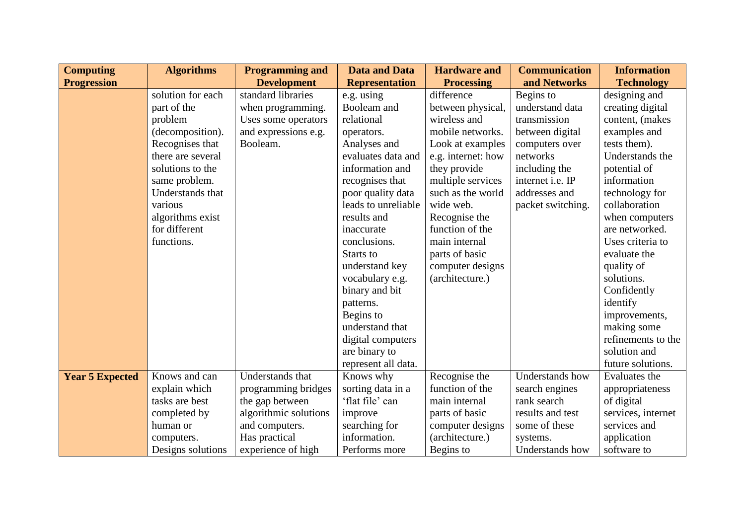| <b>Computing</b>       | <b>Algorithms</b> | <b>Programming and</b> | <b>Data and Data</b>  | <b>Hardware and</b> | <b>Communication</b> | <b>Information</b> |
|------------------------|-------------------|------------------------|-----------------------|---------------------|----------------------|--------------------|
| <b>Progression</b>     |                   | <b>Development</b>     | <b>Representation</b> | <b>Processing</b>   | and Networks         | <b>Technology</b>  |
|                        | solution for each | standard libraries     | e.g. using            | difference          | Begins to            | designing and      |
|                        | part of the       | when programming.      | Booleam and           | between physical,   | understand data      | creating digital   |
|                        | problem           | Uses some operators    | relational            | wireless and        | transmission         | content, (makes    |
|                        | (decomposition).  | and expressions e.g.   | operators.            | mobile networks.    | between digital      | examples and       |
|                        | Recognises that   | Booleam.               | Analyses and          | Look at examples    | computers over       | tests them).       |
|                        | there are several |                        | evaluates data and    | e.g. internet: how  | networks             | Understands the    |
|                        | solutions to the  |                        | information and       | they provide        | including the        | potential of       |
|                        | same problem.     |                        | recognises that       | multiple services   | internet i.e. IP     | information        |
|                        | Understands that  |                        | poor quality data     | such as the world   | addresses and        | technology for     |
|                        | various           |                        | leads to unreliable   | wide web.           | packet switching.    | collaboration      |
|                        | algorithms exist  |                        | results and           | Recognise the       |                      | when computers     |
|                        | for different     |                        | inaccurate            | function of the     |                      | are networked.     |
|                        | functions.        |                        | conclusions.          | main internal       |                      | Uses criteria to   |
|                        |                   |                        | Starts to             | parts of basic      |                      | evaluate the       |
|                        |                   |                        | understand key        | computer designs    |                      | quality of         |
|                        |                   |                        | vocabulary e.g.       | (architecture.)     |                      | solutions.         |
|                        |                   |                        | binary and bit        |                     |                      | Confidently        |
|                        |                   |                        | patterns.             |                     |                      | identify           |
|                        |                   |                        | Begins to             |                     |                      | improvements,      |
|                        |                   |                        | understand that       |                     |                      | making some        |
|                        |                   |                        | digital computers     |                     |                      | refinements to the |
|                        |                   |                        | are binary to         |                     |                      | solution and       |
|                        |                   |                        | represent all data.   |                     |                      | future solutions.  |
| <b>Year 5 Expected</b> | Knows and can     | Understands that       | Knows why             | Recognise the       | Understands how      | Evaluates the      |
|                        | explain which     | programming bridges    | sorting data in a     | function of the     | search engines       | appropriateness    |
|                        | tasks are best    | the gap between        | 'flat file' can       | main internal       | rank search          | of digital         |
|                        | completed by      | algorithmic solutions  | improve               | parts of basic      | results and test     | services, internet |
|                        | human or          | and computers.         | searching for         | computer designs    | some of these        | services and       |
|                        | computers.        | Has practical          | information.          | (architecture.)     | systems.             | application        |
|                        | Designs solutions | experience of high     | Performs more         | Begins to           | Understands how      | software to        |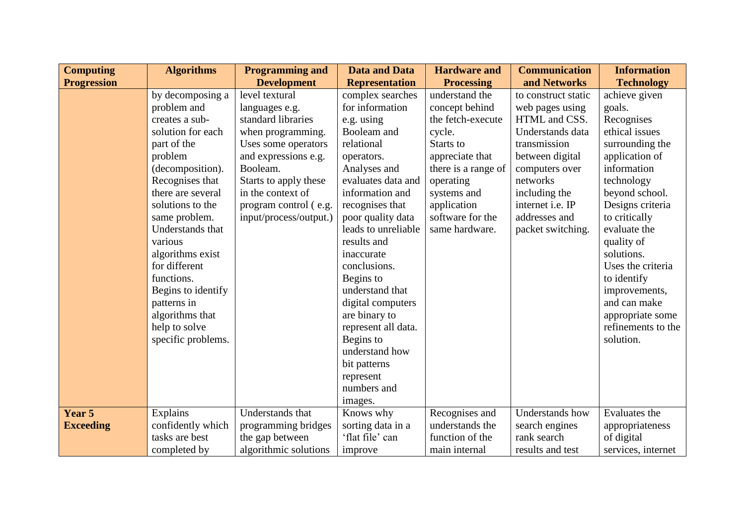| <b>Computing</b>   | <b>Algorithms</b>  | <b>Programming and</b> | <b>Data and Data</b>  | <b>Hardware and</b> | <b>Communication</b> | <b>Information</b> |
|--------------------|--------------------|------------------------|-----------------------|---------------------|----------------------|--------------------|
| <b>Progression</b> |                    | <b>Development</b>     | <b>Representation</b> | <b>Processing</b>   | and Networks         | <b>Technology</b>  |
|                    | by decomposing a   | level textural         | complex searches      | understand the      | to construct static  | achieve given      |
|                    | problem and        | languages e.g.         | for information       | concept behind      | web pages using      | goals.             |
|                    | creates a sub-     | standard libraries     | e.g. using            | the fetch-execute   | HTML and CSS.        | Recognises         |
|                    | solution for each  | when programming.      | Booleam and           | cycle.              | Understands data     | ethical issues     |
|                    | part of the        | Uses some operators    | relational            | Starts to           | transmission         | surrounding the    |
|                    | problem            | and expressions e.g.   | operators.            | appreciate that     | between digital      | application of     |
|                    | (decomposition).   | Booleam.               | Analyses and          | there is a range of | computers over       | information        |
|                    | Recognises that    | Starts to apply these  | evaluates data and    | operating           | networks             | technology         |
|                    | there are several  | in the context of      | information and       | systems and         | including the        | beyond school.     |
|                    | solutions to the   | program control (e.g.  | recognises that       | application         | internet i.e. IP     | Designs criteria   |
|                    | same problem.      | input/process/output.) | poor quality data     | software for the    | addresses and        | to critically      |
|                    | Understands that   |                        | leads to unreliable   | same hardware.      | packet switching.    | evaluate the       |
|                    | various            |                        | results and           |                     |                      | quality of         |
|                    | algorithms exist   |                        | inaccurate            |                     |                      | solutions.         |
|                    | for different      |                        | conclusions.          |                     |                      | Uses the criteria  |
|                    | functions.         |                        | Begins to             |                     |                      | to identify        |
|                    | Begins to identify |                        | understand that       |                     |                      | improvements,      |
|                    | patterns in        |                        | digital computers     |                     |                      | and can make       |
|                    | algorithms that    |                        | are binary to         |                     |                      | appropriate some   |
|                    | help to solve      |                        | represent all data.   |                     |                      | refinements to the |
|                    | specific problems. |                        | Begins to             |                     |                      | solution.          |
|                    |                    |                        | understand how        |                     |                      |                    |
|                    |                    |                        | bit patterns          |                     |                      |                    |
|                    |                    |                        | represent             |                     |                      |                    |
|                    |                    |                        | numbers and           |                     |                      |                    |
|                    |                    |                        | images.               |                     |                      |                    |
| Year 5             | Explains           | Understands that       | Knows why             | Recognises and      | Understands how      | Evaluates the      |
| <b>Exceeding</b>   | confidently which  | programming bridges    | sorting data in a     | understands the     | search engines       | appropriateness    |
|                    | tasks are best     | the gap between        | 'flat file' can       | function of the     | rank search          | of digital         |
|                    | completed by       | algorithmic solutions  | improve               | main internal       | results and test     | services, internet |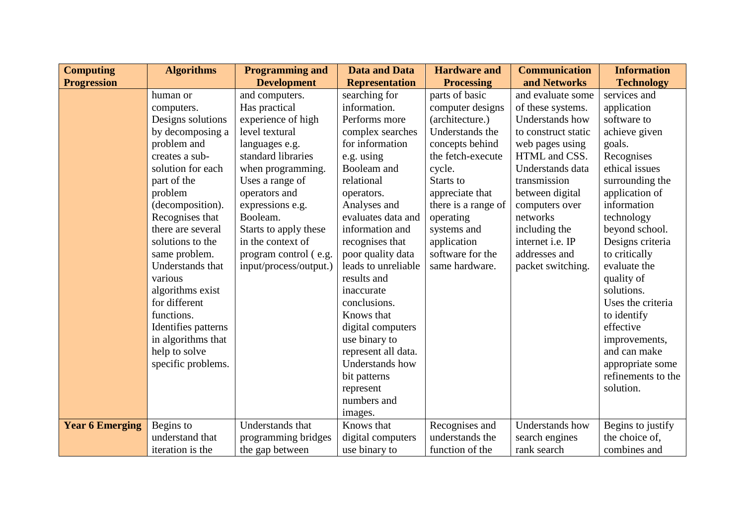| <b>Computing</b>       | <b>Algorithms</b>   | <b>Programming and</b> | <b>Data and Data</b>  | <b>Hardware and</b> | <b>Communication</b>   | <b>Information</b> |
|------------------------|---------------------|------------------------|-----------------------|---------------------|------------------------|--------------------|
| <b>Progression</b>     |                     | <b>Development</b>     | <b>Representation</b> | <b>Processing</b>   | and Networks           | <b>Technology</b>  |
|                        | human or            | and computers.         | searching for         | parts of basic      | and evaluate some      | services and       |
|                        | computers.          | Has practical          | information.          | computer designs    | of these systems.      | application        |
|                        | Designs solutions   | experience of high     | Performs more         | (architecture.)     | <b>Understands</b> how | software to        |
|                        | by decomposing a    | level textural         | complex searches      | Understands the     | to construct static    | achieve given      |
|                        | problem and         | languages e.g.         | for information       | concepts behind     | web pages using        | goals.             |
|                        | creates a sub-      | standard libraries     | e.g. using            | the fetch-execute   | HTML and CSS.          | Recognises         |
|                        | solution for each   | when programming.      | Booleam and           | cycle.              | Understands data       | ethical issues     |
|                        | part of the         | Uses a range of        | relational            | Starts to           | transmission           | surrounding the    |
|                        | problem             | operators and          | operators.            | appreciate that     | between digital        | application of     |
|                        | (decomposition).    | expressions e.g.       | Analyses and          | there is a range of | computers over         | information        |
|                        | Recognises that     | Booleam.               | evaluates data and    | operating           | networks               | technology         |
|                        | there are several   | Starts to apply these  | information and       | systems and         | including the          | beyond school.     |
|                        | solutions to the    | in the context of      | recognises that       | application         | internet i.e. IP       | Designs criteria   |
|                        | same problem.       | program control (e.g.  | poor quality data     | software for the    | addresses and          | to critically      |
|                        | Understands that    | input/process/output.) | leads to unreliable   | same hardware.      | packet switching.      | evaluate the       |
|                        | various             |                        | results and           |                     |                        | quality of         |
|                        | algorithms exist    |                        | inaccurate            |                     |                        | solutions.         |
|                        | for different       |                        | conclusions.          |                     |                        | Uses the criteria  |
|                        | functions.          |                        | Knows that            |                     |                        | to identify        |
|                        | Identifies patterns |                        | digital computers     |                     |                        | effective          |
|                        | in algorithms that  |                        | use binary to         |                     |                        | improvements,      |
|                        | help to solve       |                        | represent all data.   |                     |                        | and can make       |
|                        | specific problems.  |                        | Understands how       |                     |                        | appropriate some   |
|                        |                     |                        | bit patterns          |                     |                        | refinements to the |
|                        |                     |                        | represent             |                     |                        | solution.          |
|                        |                     |                        | numbers and           |                     |                        |                    |
|                        |                     |                        | images.               |                     |                        |                    |
| <b>Year 6 Emerging</b> | Begins to           | Understands that       | Knows that            | Recognises and      | <b>Understands</b> how | Begins to justify  |
|                        | understand that     | programming bridges    | digital computers     | understands the     | search engines         | the choice of,     |
|                        | iteration is the    | the gap between        | use binary to         | function of the     | rank search            | combines and       |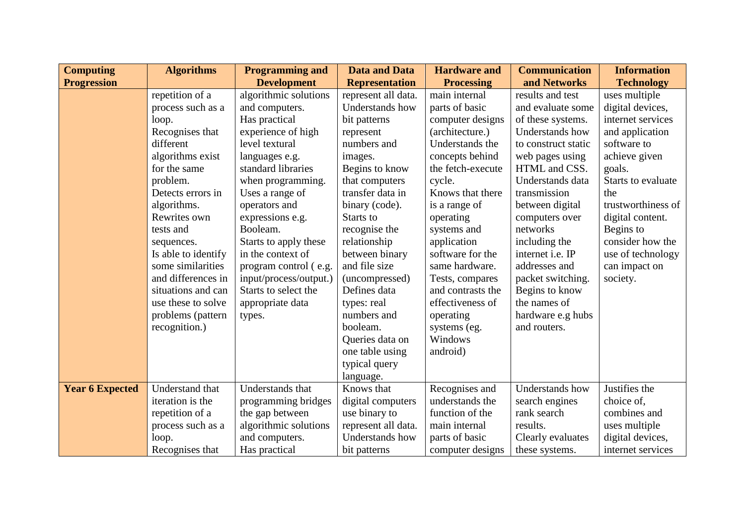| <b>Computing</b>       | <b>Algorithms</b>   | <b>Programming and</b> | <b>Data and Data</b>  | <b>Hardware and</b> | <b>Communication</b>    | <b>Information</b> |
|------------------------|---------------------|------------------------|-----------------------|---------------------|-------------------------|--------------------|
| <b>Progression</b>     |                     | <b>Development</b>     | <b>Representation</b> | <b>Processing</b>   | and Networks            | <b>Technology</b>  |
|                        | repetition of a     | algorithmic solutions  | represent all data.   | main internal       | results and test        | uses multiple      |
|                        | process such as a   | and computers.         | Understands how       | parts of basic      | and evaluate some       | digital devices,   |
|                        | loop.               | Has practical          | bit patterns          | computer designs    | of these systems.       | internet services  |
|                        | Recognises that     | experience of high     | represent             | (architecture.)     | Understands how         | and application    |
|                        | different           | level textural         | numbers and           | Understands the     | to construct static     | software to        |
|                        | algorithms exist    | languages e.g.         | images.               | concepts behind     | web pages using         | achieve given      |
|                        | for the same        | standard libraries     | Begins to know        | the fetch-execute   | HTML and CSS.           | goals.             |
|                        | problem.            | when programming.      | that computers        | cycle.              | Understands data        | Starts to evaluate |
|                        | Detects errors in   | Uses a range of        | transfer data in      | Knows that there    | transmission            | the                |
|                        | algorithms.         | operators and          | binary (code).        | is a range of       | between digital         | trustworthiness of |
|                        | Rewrites own        | expressions e.g.       | Starts to             | operating           | computers over          | digital content.   |
|                        | tests and           | Booleam.               | recognise the         | systems and         | networks                | Begins to          |
|                        | sequences.          | Starts to apply these  | relationship          | application         | including the           | consider how the   |
|                        | Is able to identify | in the context of      | between binary        | software for the    | internet <i>i.e.</i> IP | use of technology  |
|                        | some similarities   | program control (e.g.  | and file size         | same hardware.      | addresses and           | can impact on      |
|                        | and differences in  | input/process/output.) | (uncompressed)        | Tests, compares     | packet switching.       | society.           |
|                        | situations and can  | Starts to select the   | Defines data          | and contrasts the   | Begins to know          |                    |
|                        | use these to solve  | appropriate data       | types: real           | effectiveness of    | the names of            |                    |
|                        | problems (pattern   | types.                 | numbers and           | operating           | hardware e.g hubs       |                    |
|                        | recognition.)       |                        | booleam.              | systems (eg.        | and routers.            |                    |
|                        |                     |                        | Queries data on       | Windows             |                         |                    |
|                        |                     |                        | one table using       | android)            |                         |                    |
|                        |                     |                        | typical query         |                     |                         |                    |
|                        |                     |                        | language.             |                     |                         |                    |
| <b>Year 6 Expected</b> | Understand that     | Understands that       | Knows that            | Recognises and      | Understands how         | Justifies the      |
|                        | iteration is the    | programming bridges    | digital computers     | understands the     | search engines          | choice of,         |
|                        | repetition of a     | the gap between        | use binary to         | function of the     | rank search             | combines and       |
|                        | process such as a   | algorithmic solutions  | represent all data.   | main internal       | results.                | uses multiple      |
|                        | loop.               | and computers.         | Understands how       | parts of basic      | Clearly evaluates       | digital devices,   |
|                        | Recognises that     | Has practical          | bit patterns          | computer designs    | these systems.          | internet services  |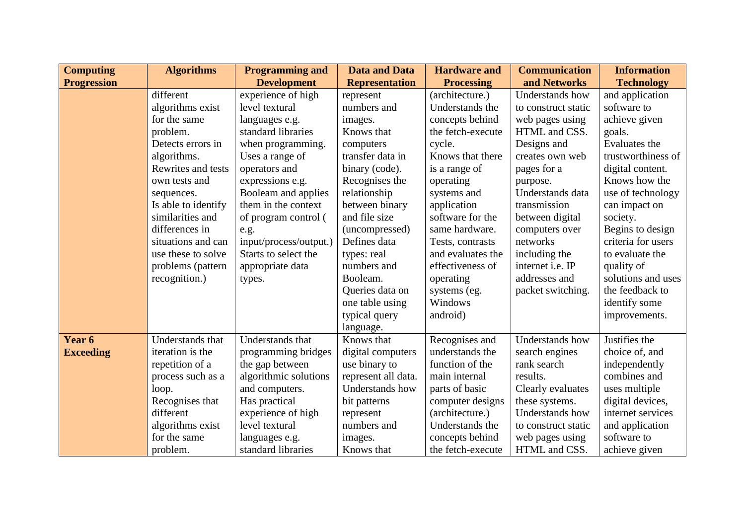| <b>Computing</b>   | <b>Algorithms</b>   | <b>Programming and</b> | <b>Data and Data</b>  | <b>Hardware and</b> | <b>Communication</b> | <b>Information</b> |
|--------------------|---------------------|------------------------|-----------------------|---------------------|----------------------|--------------------|
| <b>Progression</b> |                     | <b>Development</b>     | <b>Representation</b> | <b>Processing</b>   | and Networks         | <b>Technology</b>  |
|                    | different           | experience of high     | represent             | (architecture.)     | Understands how      | and application    |
|                    | algorithms exist    | level textural         | numbers and           | Understands the     | to construct static  | software to        |
|                    | for the same        | languages e.g.         | images.               | concepts behind     | web pages using      | achieve given      |
|                    | problem.            | standard libraries     | Knows that            | the fetch-execute   | HTML and CSS.        | goals.             |
|                    | Detects errors in   | when programming.      | computers             | cycle.              | Designs and          | Evaluates the      |
|                    | algorithms.         | Uses a range of        | transfer data in      | Knows that there    | creates own web      | trustworthiness of |
|                    | Rewrites and tests  | operators and          | binary (code).        | is a range of       | pages for a          | digital content.   |
|                    | own tests and       | expressions e.g.       | Recognises the        | operating           | purpose.             | Knows how the      |
|                    | sequences.          | Booleam and applies    | relationship          | systems and         | Understands data     | use of technology  |
|                    | Is able to identify | them in the context    | between binary        | application         | transmission         | can impact on      |
|                    | similarities and    | of program control (   | and file size         | software for the    | between digital      | society.           |
|                    | differences in      | e.g.                   | (uncompressed)        | same hardware.      | computers over       | Begins to design   |
|                    | situations and can  | input/process/output.) | Defines data          | Tests, contrasts    | networks             | criteria for users |
|                    | use these to solve  | Starts to select the   | types: real           | and evaluates the   | including the        | to evaluate the    |
|                    | problems (pattern   | appropriate data       | numbers and           | effectiveness of    | internet i.e. IP     | quality of         |
|                    | recognition.)       | types.                 | Booleam.              | operating           | addresses and        | solutions and uses |
|                    |                     |                        | Queries data on       | systems (eg.        | packet switching.    | the feedback to    |
|                    |                     |                        | one table using       | Windows             |                      | identify some      |
|                    |                     |                        | typical query         | android)            |                      | improvements.      |
|                    |                     |                        | language.             |                     |                      |                    |
| Year 6             | Understands that    | Understands that       | Knows that            | Recognises and      | Understands how      | Justifies the      |
| <b>Exceeding</b>   | iteration is the    | programming bridges    | digital computers     | understands the     | search engines       | choice of, and     |
|                    | repetition of a     | the gap between        | use binary to         | function of the     | rank search          | independently      |
|                    | process such as a   | algorithmic solutions  | represent all data.   | main internal       | results.             | combines and       |
|                    | loop.               | and computers.         | Understands how       | parts of basic      | Clearly evaluates    | uses multiple      |
|                    | Recognises that     | Has practical          | bit patterns          | computer designs    | these systems.       | digital devices,   |
|                    | different           | experience of high     | represent             | (architecture.)     | Understands how      | internet services  |
|                    | algorithms exist    | level textural         | numbers and           | Understands the     | to construct static  | and application    |
|                    | for the same        | languages e.g.         | images.               | concepts behind     | web pages using      | software to        |
|                    | problem.            | standard libraries     | Knows that            | the fetch-execute   | HTML and CSS.        | achieve given      |